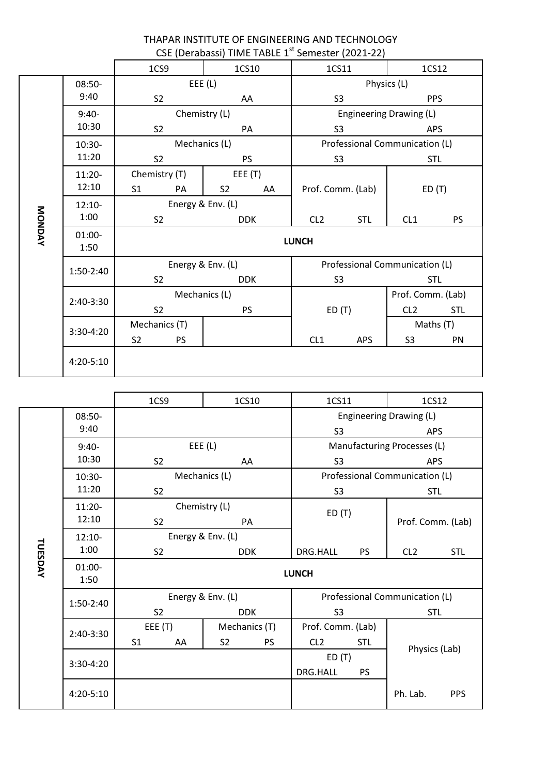|         |                   |                                 | CSE (Derabassi) TIME TABLE 1 <sup>st</sup> Semester (2021-22) |                                |                                                         |                         |                               |  |
|---------|-------------------|---------------------------------|---------------------------------------------------------------|--------------------------------|---------------------------------------------------------|-------------------------|-------------------------------|--|
|         |                   | 1CS9                            |                                                               | 1CS11<br>1CS12                 |                                                         |                         |                               |  |
|         | 08:50-            | EEE(L)                          |                                                               |                                | Physics (L)                                             |                         |                               |  |
|         | 9:40              | S <sub>2</sub><br>AA            |                                                               |                                | S <sub>3</sub><br><b>PPS</b>                            |                         |                               |  |
|         | $9:40-$           |                                 | Chemistry (L)                                                 |                                | Engineering Drawing (L)                                 |                         |                               |  |
|         | 10:30             | S <sub>2</sub>                  |                                                               | APS<br>S <sub>3</sub>          |                                                         |                         |                               |  |
|         | 10:30-            | Mechanics (L)                   |                                                               |                                | Professional Communication (L)                          |                         |                               |  |
|         | 11:20             | S <sub>2</sub><br><b>PS</b>     |                                                               | S <sub>3</sub>                 |                                                         |                         | <b>STL</b>                    |  |
|         | 11:20-            | Chemistry (T)                   | EEE (T)                                                       |                                |                                                         |                         |                               |  |
|         | 12:10             | S <sub>1</sub><br>PA            | S <sub>2</sub><br>AA                                          |                                | Prof. Comm. (Lab)                                       |                         | ED(T)                         |  |
|         | $12:10-$          | Energy & Env. (L)               |                                                               |                                |                                                         |                         |                               |  |
|         | 1:00              | S <sub>2</sub>                  | <b>DDK</b>                                                    | CL <sub>2</sub>                | <b>STL</b>                                              | CL1                     | <b>PS</b>                     |  |
| MONDAY  | $01:00 -$<br>1:50 | <b>LUNCH</b>                    |                                                               |                                |                                                         |                         |                               |  |
|         | 1:50-2:40         | Energy & Env. (L)               |                                                               | Professional Communication (L) |                                                         |                         |                               |  |
|         |                   | S <sub>2</sub>                  | <b>DDK</b>                                                    |                                | <b>STL</b><br>S <sub>3</sub>                            |                         |                               |  |
|         | 2:40-3:30         |                                 | Mechanics (L)                                                 |                                | ED(T)                                                   |                         | Prof. Comm. (Lab)             |  |
|         |                   | S <sub>2</sub>                  | <b>PS</b>                                                     |                                |                                                         |                         | CL <sub>2</sub><br><b>STL</b> |  |
|         | 3:30-4:20         | Mechanics (T)                   |                                                               |                                |                                                         | Maths (T)               |                               |  |
|         |                   | S <sub>2</sub><br><b>PS</b>     |                                                               | CL1                            | <b>APS</b>                                              | S <sub>3</sub>          | PN                            |  |
|         | 4:20-5:10         |                                 |                                                               |                                |                                                         |                         |                               |  |
|         |                   |                                 |                                                               |                                |                                                         |                         |                               |  |
|         |                   | 1CS9                            | 1CS10                                                         | 1CS11                          |                                                         | 1CS12                   |                               |  |
|         | 08:50-            |                                 |                                                               |                                |                                                         | Engineering Drawing (L) |                               |  |
|         | 9:40              |                                 |                                                               | S <sub>3</sub>                 |                                                         | APS                     |                               |  |
|         | $9:40-$<br>10:30  | EEE(L)                          |                                                               |                                | Manufacturing Processes (L)                             |                         |                               |  |
|         |                   | S <sub>2</sub>                  | AA<br>Mechanics (L)                                           |                                | S <sub>3</sub><br>APS<br>Professional Communication (L) |                         |                               |  |
|         | 10:30-<br>11:20   |                                 |                                                               | S <sub>3</sub><br><b>STL</b>   |                                                         |                         |                               |  |
|         | $11:20-$          | S <sub>2</sub><br>Chemistry (L) |                                                               |                                |                                                         |                         | Prof. Comm. (Lab)             |  |
|         | 12:10             | S <sub>2</sub>                  |                                                               | ED(T)                          |                                                         |                         |                               |  |
|         | $12:10-$          | PA<br>Energy & Env. (L)         |                                                               |                                |                                                         |                         |                               |  |
|         | 1:00              | S <sub>2</sub>                  | <b>DDK</b>                                                    |                                | PS                                                      | CL <sub>2</sub>         | <b>STL</b>                    |  |
| TUESDAY | $01:00 -$         |                                 |                                                               | DRG.HALL                       |                                                         |                         |                               |  |
|         | 1:50              |                                 | <b>LUNCH</b>                                                  |                                |                                                         |                         |                               |  |
|         | 1:50-2:40         | Energy & Env. (L)               |                                                               | Professional Communication (L) |                                                         |                         |                               |  |
|         |                   | S <sub>2</sub>                  | <b>DDK</b>                                                    | S <sub>3</sub>                 |                                                         | <b>STL</b>              |                               |  |
|         | 2:40-3:30         | EEE(T)                          | Mechanics (T)                                                 | Prof. Comm. (Lab)              |                                                         |                         |                               |  |
|         |                   | S <sub>1</sub><br>AA            | S <sub>2</sub><br><b>PS</b>                                   | CL <sub>2</sub>                | <b>STL</b>                                              | Physics (Lab)           |                               |  |
|         | 3:30-4:20         |                                 |                                                               | ED(T)                          |                                                         |                         |                               |  |
|         |                   |                                 |                                                               | DRG.HALL                       | PS                                                      |                         |                               |  |
|         | 4:20-5:10         |                                 |                                                               |                                |                                                         | Ph. Lab.                | <b>PPS</b>                    |  |

THAPAR INSTITUTE OF ENGINEERING AND TECHNOLOGY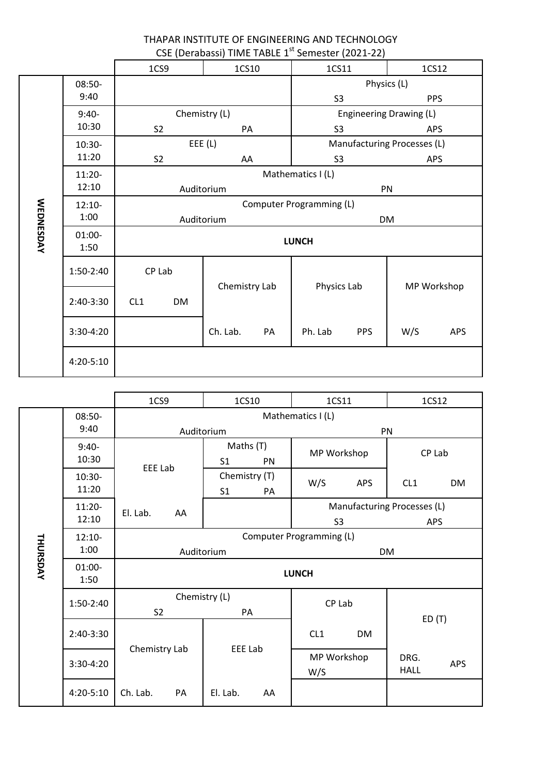| THAPAR INSTITUTE OF ENGINEERING AND TECHNOLOGY                |
|---------------------------------------------------------------|
| CSE (Derabassi) TIME TABLE 1 <sup>st</sup> Semester (2021-22) |

|                  |           | 1CS9                     |           | 1CS10         |                             | 1CS11             |            | 1CS12       |     |
|------------------|-----------|--------------------------|-----------|---------------|-----------------------------|-------------------|------------|-------------|-----|
|                  | 08:50-    |                          |           |               | Physics (L)                 |                   |            |             |     |
|                  | 9:40      |                          |           |               |                             | S <sub>3</sub>    |            | <b>PPS</b>  |     |
|                  | $9:40-$   | Chemistry (L)            |           |               | Engineering Drawing (L)     |                   |            |             |     |
|                  | 10:30     | S <sub>2</sub>           |           | PA            |                             | S <sub>3</sub>    |            | <b>APS</b>  |     |
|                  | 10:30-    | EEE(L)                   |           |               | Manufacturing Processes (L) |                   |            |             |     |
|                  | 11:20     | S <sub>2</sub>           |           | AA            |                             | S <sub>3</sub>    |            | APS         |     |
|                  | $11:20-$  |                          |           |               |                             | Mathematics I (L) |            |             |     |
|                  | 12:10     | Auditorium               |           |               |                             | PN                |            |             |     |
|                  | $12:10-$  | Computer Programming (L) |           |               |                             |                   |            |             |     |
|                  | 1:00      | Auditorium               |           |               |                             | <b>DM</b>         |            |             |     |
| <b>WEDNESDAY</b> | $01:00-$  | <b>LUNCH</b>             |           |               |                             |                   |            |             |     |
|                  | 1:50      |                          |           |               |                             |                   |            |             |     |
|                  | 1:50-2:40 | CP Lab                   |           | Chemistry Lab |                             | Physics Lab       |            | MP Workshop |     |
|                  | 2:40-3:30 | CL1                      | <b>DM</b> |               |                             |                   |            |             |     |
|                  |           |                          |           |               |                             |                   |            |             |     |
|                  | 3:30-4:20 |                          |           | Ch. Lab.      | PA                          | Ph. Lab           | <b>PPS</b> | W/S         | APS |
|                  | 4:20-5:10 |                          |           |               |                             |                   |            |             |     |

|                 |                   | 1CS9<br>1CS10  |                                       | 1CS11                                 | 1CS12                                     |  |  |
|-----------------|-------------------|----------------|---------------------------------------|---------------------------------------|-------------------------------------------|--|--|
|                 | 08:50-<br>9:40    |                | Auditorium                            | Mathematics I (L)<br>PN               |                                           |  |  |
|                 | $9:40-$<br>10:30  |                | Maths (T)<br>S <sub>1</sub><br>PN     | MP Workshop                           | CP Lab                                    |  |  |
|                 | $10:30-$<br>11:20 | <b>EEE Lab</b> | Chemistry (T)<br>S <sub>1</sub><br>PA | W/S<br><b>APS</b>                     | CL1<br><b>DM</b>                          |  |  |
|                 | $11:20-$<br>12:10 | El. Lab.<br>AA |                                       | S <sub>3</sub>                        | Manufacturing Processes (L)<br><b>APS</b> |  |  |
| <b>THURSDAY</b> | $12:10-$<br>1:00  |                | Auditorium                            | Computer Programming (L)<br><b>DM</b> |                                           |  |  |
|                 | $01:00 -$<br>1:50 | <b>LUNCH</b>   |                                       |                                       |                                           |  |  |
|                 | 1:50-2:40         | S <sub>2</sub> | Chemistry (L)<br>PA                   | CP Lab                                |                                           |  |  |
|                 | 2:40-3:30         | Chemistry Lab  | <b>EEE Lab</b>                        | CL1<br><b>DM</b>                      | ED(T)                                     |  |  |
|                 | 3:30-4:20         |                |                                       | MP Workshop<br>W/S                    | DRG.<br><b>APS</b><br><b>HALL</b>         |  |  |
|                 | 4:20-5:10         | Ch. Lab.<br>PA | El. Lab.<br>AA                        |                                       |                                           |  |  |